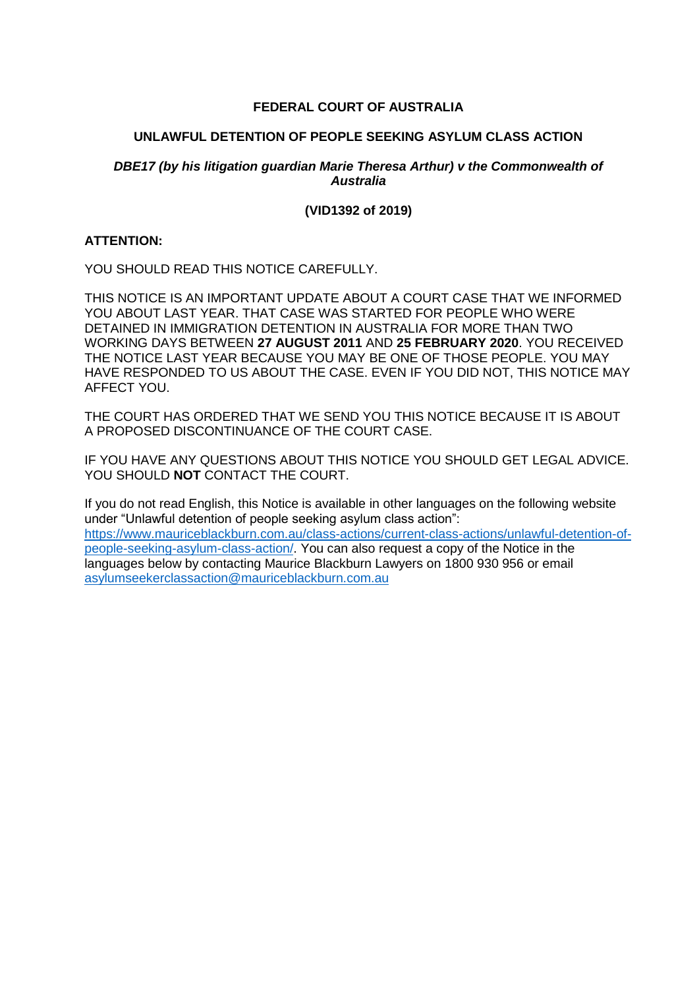## **FEDERAL COURT OF AUSTRALIA**

## **UNLAWFUL DETENTION OF PEOPLE SEEKING ASYLUM CLASS ACTION**

## *DBE17 (by his litigation guardian Marie Theresa Arthur) v the Commonwealth of Australia*

## **(VID1392 of 2019)**

### **ATTENTION:**

YOU SHOULD READ THIS NOTICE CAREFULLY.

THIS NOTICE IS AN IMPORTANT UPDATE ABOUT A COURT CASE THAT WE INFORMED YOU ABOUT LAST YEAR. THAT CASE WAS STARTED FOR PEOPLE WHO WERE DETAINED IN IMMIGRATION DETENTION IN AUSTRALIA FOR MORE THAN TWO WORKING DAYS BETWEEN **27 AUGUST 2011** AND **25 FEBRUARY 2020**. YOU RECEIVED THE NOTICE LAST YEAR BECAUSE YOU MAY BE ONE OF THOSE PEOPLE. YOU MAY HAVE RESPONDED TO US ABOUT THE CASE. EVEN IF YOU DID NOT, THIS NOTICE MAY AFFECT YOU.

THE COURT HAS ORDERED THAT WE SEND YOU THIS NOTICE BECAUSE IT IS ABOUT A PROPOSED DISCONTINUANCE OF THE COURT CASE.

IF YOU HAVE ANY QUESTIONS ABOUT THIS NOTICE YOU SHOULD GET LEGAL ADVICE. YOU SHOULD **NOT** CONTACT THE COURT.

If you do not read English, this Notice is available in other languages on the following website under "Unlawful detention of people seeking asylum class action": [https://www.mauriceblackburn.com.au/class-actions/current-class-actions/unlawful-detention-of](https://www.mauriceblackburn.com.au/class-actions/current-class-actions/unlawful-detention-of-people-seeking-asylum-class-action/)[people-seeking-asylum-class-action/.](https://www.mauriceblackburn.com.au/class-actions/current-class-actions/unlawful-detention-of-people-seeking-asylum-class-action/) You can also request a copy of the Notice in the languages below by contacting Maurice Blackburn Lawyers on 1800 930 956 or email [asylumseekerclassaction@mauriceblackburn.com.au](mailto:asylumseekerclassaction@mauriceblackburn.com.au)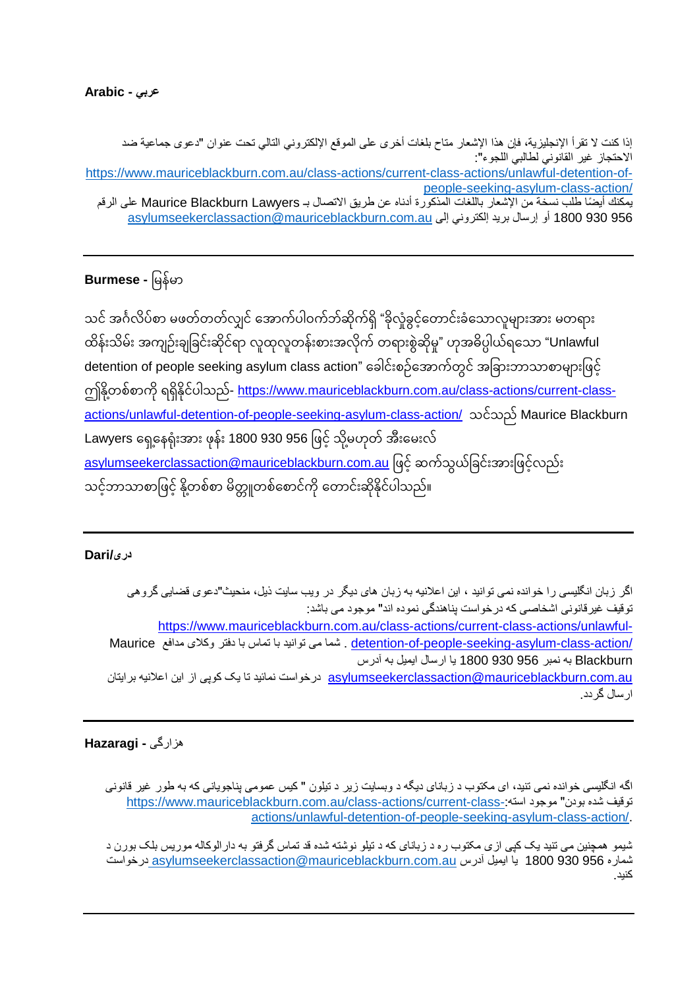إذا كنت ال تقرأ اإلنجليزية، فإن هذا اإلشعار متاح بلغات أخرى على الموقع اإللكتروني التالي تحت عنوان "دعوى جماعية ضد االحتجاز غير القانوني لطالبي اللجوء": [https://www.mauriceblackburn.com.au/class-actions/current-class-actions/unlawful-detention-of](https://www.mauriceblackburn.com.au/class-actions/current-class-actions/unlawful-detention-of-people-seeking-asylum-class-action/)[people-seeking-asylum-class-action/](https://www.mauriceblackburn.com.au/class-actions/current-class-actions/unlawful-detention-of-people-seeking-asylum-class-action/) يمكنك أيضًا طلب نسخة من الإشعار باللغات المذكورة أدناه عن طريق الاتصال بـ Maurice Blackburn Lawyers على الرقم 956 930 1800 أو إرسال بريد إلكتروني إلى asylumseekerclassaction@mauriceblackburn.com.au

# **Burmese -** မြန်မာ

သင် အင်္ဂလိပ်စာ မဖတ်တတ်လျှင် အောက်ပါဝက်ဘ်ဆိုက်ရှိ "ခိုလှုံခွင့်တောင်းခံသောလူများအား မတရား ထိန်းသိမ်း အကျဉ်းချခြင်းဆိုင်ရာ လူထုလူတန်းစားအလိုက် တရားစွဲဆိုမှု" ဟုအဓိပ္ပါယ်ရသော "Unlawful detention of people seeking asylum class action" ခေါင်းစဉ်အောက်တွင် အခြားဘာသာစာများဖြင့် ဤနို့တစ်စာကို ရရှိနိုင်ပါသည်- <u>https://www.mauriceblackburn.com.au/class-actions/current-class-</u> [actions/unlawful-detention-of-people-seeking-asylum-class-action/](https://www.mauriceblackburn.com.au/CLASS-ACTIONS/CURRENT-CLASS-ACTIONS/UNLAWFUL-DETENTION-OF-PEOPLE-SEEKING-ASYLUM-CLASS-ACTION/) သင်သည် Maurice Blackburn Lawyers ရှေ့နေရုံးအား ဖုန်း 1800 930 956 ဖြင့် သို့မဟုတ် အီးမေးလ် <mark>[asylumseekerclassaction@mauriceblackburn.com.au](mailto:asylumseekerclassaction@mauriceblackburn.com.au)</mark> ဖြင့် ဆက်သွယ်ခြင်းအားဖြင့်လည်း သင့်ဘာသာစာဖြင့် နို့တစ်စာ မိတ္တူတစ်စောင်ကို တောင်းဆိုနိုင်ပါသည်။

## **دری/Dari**

اگر زبان انگليسی را خوانده نمی توانيد ، اين اعالنيه به زبان های ديگر در ويب سايت ذيل، منحيث"دعوی قضايی گروهی توقيف غيرقانونی اشخاصی که درخواست پناهندگی نموده اند" موجود می باشد: [https://www.mauriceblackburn.com.au/class-actions/current-class-actions/unlawful-](https://www.mauriceblackburn.com.au/class-actions/current-class-actions/unlawful-detention-of-people-seeking-asylum-class-action/)Maurice مدافع وکالی دفتر با تماس با توانيد می شما . [detention-of-people-seeking-asylum-class-action/](https://www.mauriceblackburn.com.au/class-actions/current-class-actions/unlawful-detention-of-people-seeking-asylum-class-action/) Blackburn به نمبر 956 930 1800 يا ارسال ايميل به آدرس asylumseekerclassaction@mauriceblackburn.com.au درخواست نمائيد تا يک کوپی از اين اعلانيه برايتان ارسال گردد.

## هزارگی **- Hazaragi**

اگه انگليسی خوانده نمی تنيد، ای مکتوب د زبانای ديگه د وبسايت زير د تيلون " کيس عمومی پناجويانی که به طور غير قانونی [https://www.mauriceblackburn.com.au/class-actions/current-class-:](https://www.mauriceblackburn.com.au/class-actions/current-class-actions/unlawful-detention-of-people-seeking-asylum-class-action/)استه موجود" بودن شده توقيف [actions/unlawful-detention-of-people-seeking-asylum-class-action/.](https://www.mauriceblackburn.com.au/class-actions/current-class-actions/unlawful-detention-of-people-seeking-asylum-class-action/)

شيمو همچنين می تنيد يک کپی ازی مکتوب ره د زبانای که د تيلو نوشته شده قد تماس گرفتو به دارالوکاله موريس بلک بورن د شماره 956 930 930 يا ايميل آدرس asylumseekerclassaction@mauriceblackburn.com.au درخواست کنيد.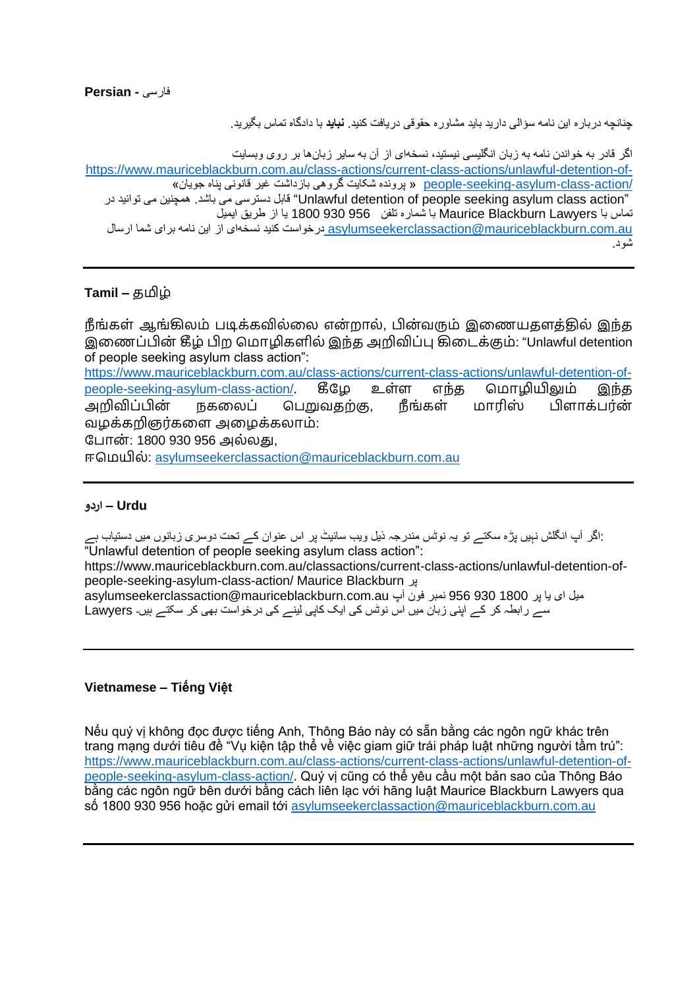## فارسی **- Persian**

چنانچه درباره اين نامه سؤالی داريد بايد مشاوره حقوقی دريافت کنيد. **نباید** با دادگاه تماس بگيريد.

اگر قادر به خواندن نامه به زبان انگليسی نيستيد، نسخهای از آن به ساير زبانها بر روی وبسايت [https://www.mauriceblackburn.com.au/class-actions/current-class-actions/unlawful-detention-of-](https://www.mauriceblackburn.com.au/class-actions/current-class-actions/unlawful-detention-of-people-seeking-asylum-class-action/) [/action-class-asylum-seeking-people](https://www.mauriceblackburn.com.au/class-actions/current-class-actions/unlawful-detention-of-people-seeking-asylum-class-action/) « پرونده شکايت گروهی بازداشت غير قانونی پناه جويان« "action class asylum seeking people of detention Unlawful "قابل دسترسی می باشد. همچنين می توانيد در تماس با Lawyers Blackburn Maurice با شماره تلفن 956 930 1800 يا از طريق ايميل [au.com.mauriceblackburn@asylumseekerclassaction](mailto:asylumseekerclassaction@mauriceblackburn.com.au) درخواست کنيد نسخهای از اين نامه برای شما ارسال شود.

## **Tamil –** தமிழ்

நீங்கள் ஆங்கிலம் படிக்கவில்லல என் றால், பின்வரும் இலையதளத்தில் இந்த இலைப்பின் கீழ் பிற மமாழிகளில் இந்த அறிவிப்பு கிலைக்கும்: "Unlawful detention of people seeking asylum class action":

[https://www.mauriceblackburn.com.au/class-actions/current-class-actions/unlawful-detention-of](https://www.mauriceblackburn.com.au/class-actions/current-class-actions/unlawful-detention-of-people-seeking-asylum-class-action/)[people-seeking-asylum-class-action/.](https://www.mauriceblackburn.com.au/class-actions/current-class-actions/unlawful-detention-of-people-seeking-asylum-class-action/) கீழழ உள்ள எந்த மமாழியிலும் இந்த அறிவிப்பின் நகலலப் மபறுவதற்கு, நீங்கள் மாரிஸ் பிளாக்பர்ன் வழக்கறிஞர்கலள அலழக்கலாம்:

ழபான்: 1800 930 956 அல்லது,

ஈமமயில்: [asylumseekerclassaction@mauriceblackburn.com.au](mailto:asylumseekerclassaction@mauriceblackburn.com.au)

## **Urdu – اردو**

 :اگر آپ انگلش نہيں پڑه سکتے تو يہ نوٹس مندرجہ ذيل ويب سائيٹ پر اس عنوان کے تحت دوسری زبانوں ميں دستياب ہے "Unlawful detention of people seeking asylum class action": https://www.mauriceblackburn.com.au/classactions/current-class-actions/unlawful-detention-ofpeople-seeking-asylum-class-action/ Maurice Blackburn پر ميل ای يا پر 1800 930 936 نمبر فون آپ asylumseekerclassaction@mauriceblackburn.com.au سے رابطہ کر کے اپنی زبان ميں اس نوٹس کی ايک کاپی لينے کی درخواست بهی کر سکتے ہيں۔ Lawyers

## **Vietnamese – Tiếng Việt**

Nếu quý vị không đọc được tiếng Anh, Thông Báo này có sẵn bằng các ngôn ngữ khác trên trang mạng dưới tiêu đề "Vụ kiện tập thể về việc giam giữ trái pháp luật những người tầm trú": [https://www.mauriceblackburn.com.au/class-actions/current-class-actions/unlawful-detention-of](https://www.mauriceblackburn.com.au/class-actions/current-class-actions/unlawful-detention-of-people-seeking-asylum-class-action/)[people-seeking-asylum-class-action/.](https://www.mauriceblackburn.com.au/class-actions/current-class-actions/unlawful-detention-of-people-seeking-asylum-class-action/) Quý vị cũng có thể yêu cầu một bản sao của Thông Báo bằng các ngôn ngữ bên dưới bằng cách liên lạc với hãng luật Maurice Blackburn Lawyers qua số 1800 930 956 hoặc gửi email tới [asylumseekerclassaction@mauriceblackburn.com.au](mailto:asylumseekerclassaction@mauriceblackburn.com.au)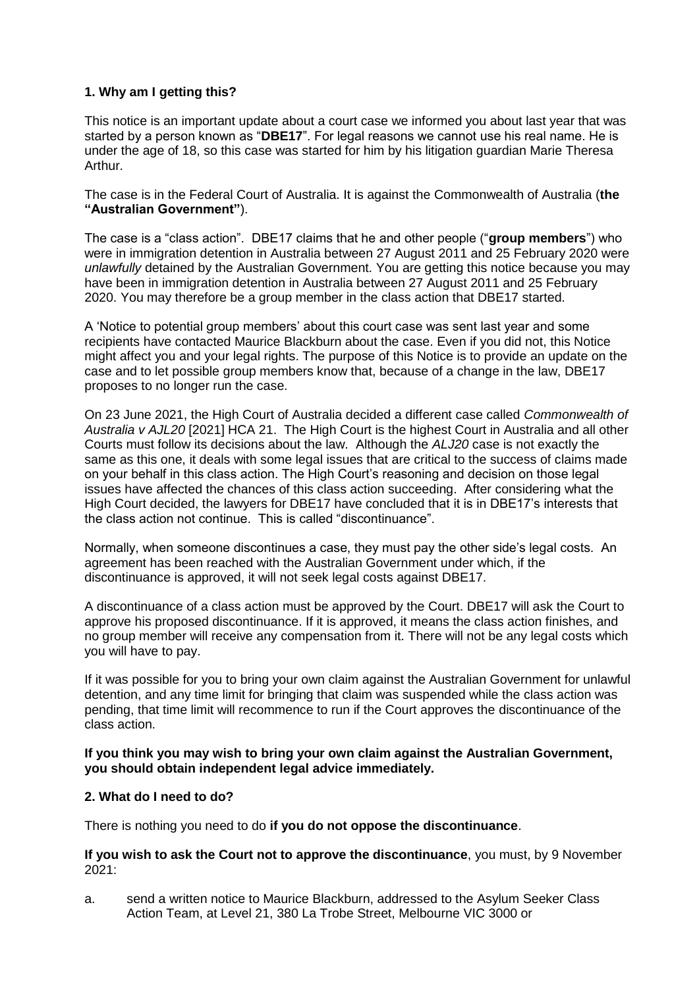## **1. Why am I getting this?**

This notice is an important update about a court case we informed you about last year that was started by a person known as "**DBE17**". For legal reasons we cannot use his real name. He is under the age of 18, so this case was started for him by his litigation guardian Marie Theresa Arthur.

The case is in the Federal Court of Australia. It is against the Commonwealth of Australia (**the "Australian Government"**).

The case is a "class action". DBE17 claims that he and other people ("**group members**") who were in immigration detention in Australia between 27 August 2011 and 25 February 2020 were *unlawfully* detained by the Australian Government. You are getting this notice because you may have been in immigration detention in Australia between 27 August 2011 and 25 February 2020. You may therefore be a group member in the class action that DBE17 started.

A 'Notice to potential group members' about this court case was sent last year and some recipients have contacted Maurice Blackburn about the case. Even if you did not, this Notice might affect you and your legal rights. The purpose of this Notice is to provide an update on the case and to let possible group members know that, because of a change in the law, DBE17 proposes to no longer run the case.

On 23 June 2021, the High Court of Australia decided a different case called *Commonwealth of Australia v AJL20* [2021] HCA 21. The High Court is the highest Court in Australia and all other Courts must follow its decisions about the law. Although the *ALJ20* case is not exactly the same as this one, it deals with some legal issues that are critical to the success of claims made on your behalf in this class action. The High Court's reasoning and decision on those legal issues have affected the chances of this class action succeeding. After considering what the High Court decided, the lawyers for DBE17 have concluded that it is in DBE17's interests that the class action not continue. This is called "discontinuance".

Normally, when someone discontinues a case, they must pay the other side's legal costs. An agreement has been reached with the Australian Government under which, if the discontinuance is approved, it will not seek legal costs against DBE17.

A discontinuance of a class action must be approved by the Court. DBE17 will ask the Court to approve his proposed discontinuance. If it is approved, it means the class action finishes, and no group member will receive any compensation from it. There will not be any legal costs which you will have to pay.

If it was possible for you to bring your own claim against the Australian Government for unlawful detention, and any time limit for bringing that claim was suspended while the class action was pending, that time limit will recommence to run if the Court approves the discontinuance of the class action.

#### **If you think you may wish to bring your own claim against the Australian Government, you should obtain independent legal advice immediately.**

## **2. What do I need to do?**

There is nothing you need to do **if you do not oppose the discontinuance**.

**If you wish to ask the Court not to approve the discontinuance**, you must, by 9 November  $2021$ 

a. send a written notice to Maurice Blackburn, addressed to the Asylum Seeker Class Action Team, at Level 21, 380 La Trobe Street, Melbourne VIC 3000 or